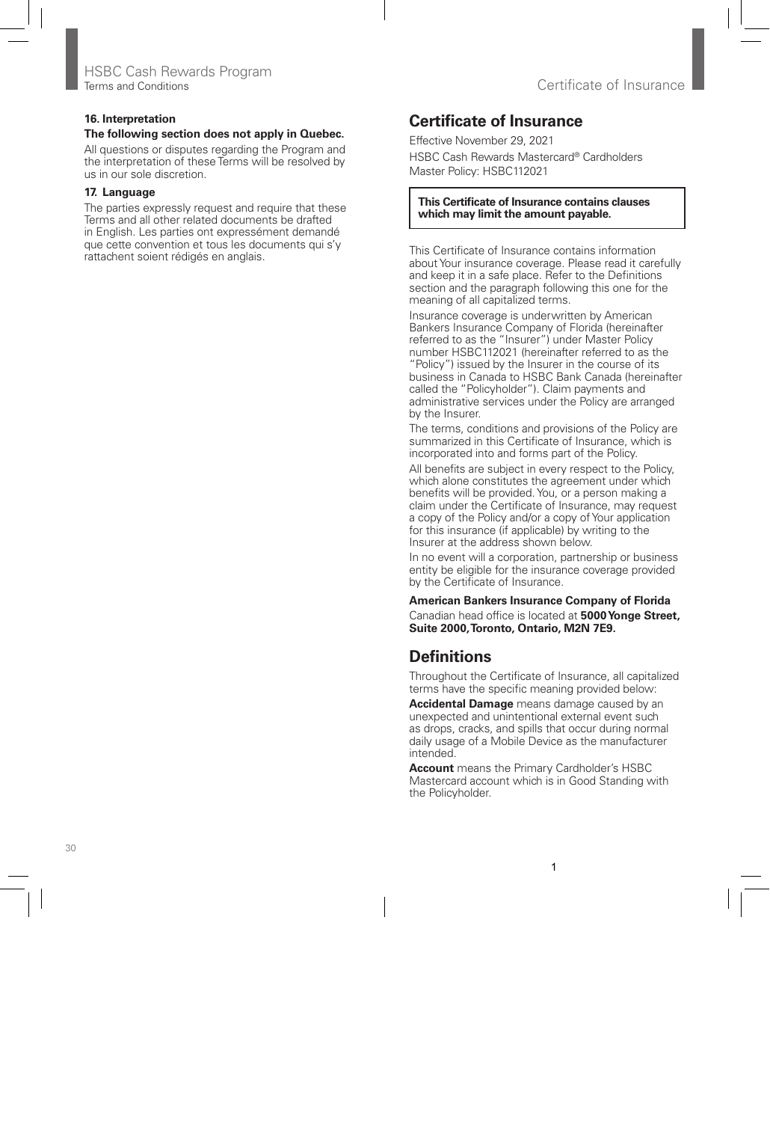# **Certificate of Insurance**

Effective November 29, 2021 HSBC Cash Rewards Mastercard® Cardholders Master Policy: HSBC112021

### **This Certificate of Insurance contains clauses which may limit the amount payable.**

This Certificate of Insurance contains information about Your insurance coverage. Please read it carefully and keep it in a safe place. Refer to the Definitions section and the paragraph following this one for the meaning of all capitalized terms.

Insurance coverage is underwritten by American Bankers Insurance Company of Florida (hereinafter referred to as the "Insurer") under Master Policy number HSBC112021 (hereinafter referred to as the "Policy") issued by the Insurer in the course of its business in Canada to HSBC Bank Canada (hereinafter called the "Policyholder"). Claim payments and administrative services under the Policy are arranged by the Insurer.

The terms, conditions and provisions of the Policy are summarized in this Certificate of Insurance, which is incorporated into and forms part of the Policy.

All benefits are subject in every respect to the Policy, which alone constitutes the agreement under which benefits will be provided. You, or a person making a claim under the Certificate of Insurance, may request a copy of the Policy and/or a copy of Your application for this insurance (if applicable) by writing to the Insurer at the address shown below.

In no event will a corporation, partnership or business entity be eligible for the insurance coverage provided by the Certificate of Insurance.

**American Bankers Insurance Company of Florida** Canadian head office is located at **5000 Yonge Street, Suite 2000, Toronto, Ontario, M2N 7E9.**

# **Definitions**

Throughout the Certificate of Insurance, all capitalized terms have the specific meaning provided below:

**Accidental Damage** means damage caused by an unexpected and unintentional external event such as drops, cracks, and spills that occur during normal daily usage of a Mobile Device as the manufacturer intended.

**Account** means the Primary Cardholder's HSBC Mastercard account which is in Good Standing with the Policyholder.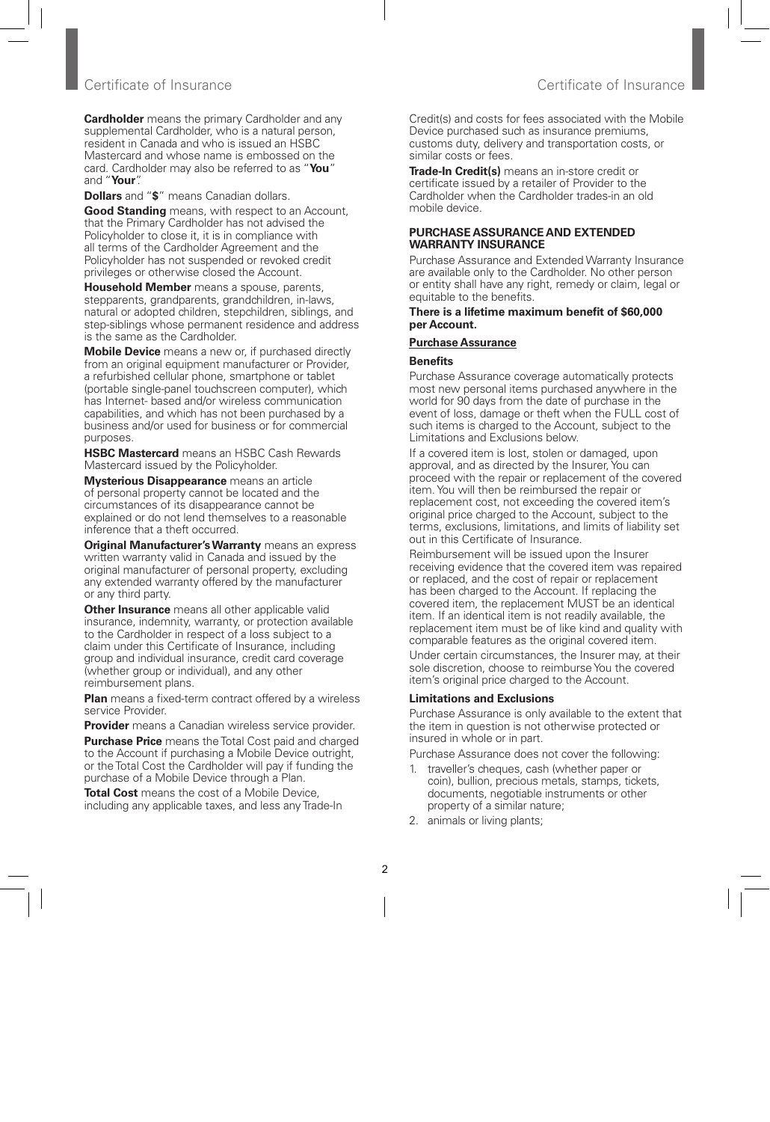## Certificate of Insurance Certificate of Insurance

**Cardholder** means the primary Cardholder and any supplemental Cardholder, who is a natural person, resident in Canada and who is issued an HSBC Mastercard and whose name is embossed on the card. Cardholder may also be referred to as "**You**" and "**Your**".

**Dollars** and "**\$**" means Canadian dollars.

**Good Standing** means, with respect to an Account, that the Primary Cardholder has not advised the Policyholder to close it, it is in compliance with all terms of the Cardholder Agreement and the Policyholder has not suspended or revoked credit privileges or otherwise closed the Account.

**Household Member** means a spouse, parents, stepparents, grandparents, grandchildren, in-laws, natural or adopted children, stepchildren, siblings, and step-siblings whose permanent residence and address is the same as the Cardholder.

**Mobile Device** means a new or, if purchased directly from an original equipment manufacturer or Provider, a refurbished cellular phone, smartphone or tablet (portable single-panel touchscreen computer), which has Internet- based and/or wireless communication capabilities, and which has not been purchased by a business and/or used for business or for commercial purposes.

**HSBC Mastercard** means an HSBC Cash Rewards Mastercard issued by the Policyholder.

**Mysterious Disappearance** means an article of personal property cannot be located and the circumstances of its disappearance cannot be explained or do not lend themselves to a reasonable inference that a theft occurred.

**Original Manufacturer's Warranty** means an express written warranty valid in Canada and issued by the original manufacturer of personal property, excluding any extended warranty offered by the manufacturer or any third party.

**Other Insurance** means all other applicable valid insurance, indemnity, warranty, or protection available to the Cardholder in respect of a loss subject to a claim under this Certificate of Insurance, including group and individual insurance, credit card coverage (whether group or individual), and any other reimbursement plans.

**Plan** means a fixed-term contract offered by a wireless service Provider.

**Provider** means a Canadian wireless service provider.

**Purchase Price** means the Total Cost paid and charged to the Account if purchasing a Mobile Device outright, or the Total Cost the Cardholder will pay if funding the purchase of a Mobile Device through a Plan.

**Total Cost** means the cost of a Mobile Device, including any applicable taxes, and less any Trade-In

Credit(s) and costs for fees associated with the Mobile Device purchased such as insurance premiums, customs duty, delivery and transportation costs, or similar costs or fees.

**Trade-In Credit(s)** means an in-store credit or certificate issued by a retailer of Provider to the Cardholder when the Cardholder trades-in an old mobile device.

#### **PURCHASE ASSURANCE AND EXTENDED WARRANTY INSURANCE**

Purchase Assurance and Extended Warranty Insurance are available only to the Cardholder. No other person or entity shall have any right, remedy or claim, legal or equitable to the benefits.

#### **There is a lifetime maximum benefit of \$60,000 per Account.**

## **Purchase Assurance**

## **Benefits**

Purchase Assurance coverage automatically protects most new personal items purchased anywhere in the world for 90 days from the date of purchase in the event of loss, damage or theft when the FULL cost of such items is charged to the Account, subject to the Limitations and Exclusions below.

If a covered item is lost, stolen or damaged, upon approval, and as directed by the Insurer, You can proceed with the repair or replacement of the covered item. You will then be reimbursed the repair or replacement cost, not exceeding the covered item's original price charged to the Account, subject to the terms, exclusions, limitations, and limits of liability set out in this Certificate of Insurance.

Reimbursement will be issued upon the Insurer receiving evidence that the covered item was repaired or replaced, and the cost of repair or replacement has been charged to the Account. If replacing the covered item, the replacement MUST be an identical item. If an identical item is not readily available, the replacement item must be of like kind and quality with comparable features as the original covered item. Under certain circumstances, the Insurer may, at their sole discretion, choose to reimburse You the covered item's original price charged to the Account.

## **Limitations and Exclusions**

Purchase Assurance is only available to the extent that the item in question is not otherwise protected or insured in whole or in part.

Purchase Assurance does not cover the following:

- 1. traveller's cheques, cash (whether paper or coin), bullion, precious metals, stamps, tickets, documents, negotiable instruments or other property of a similar nature;
- 2. animals or living plants;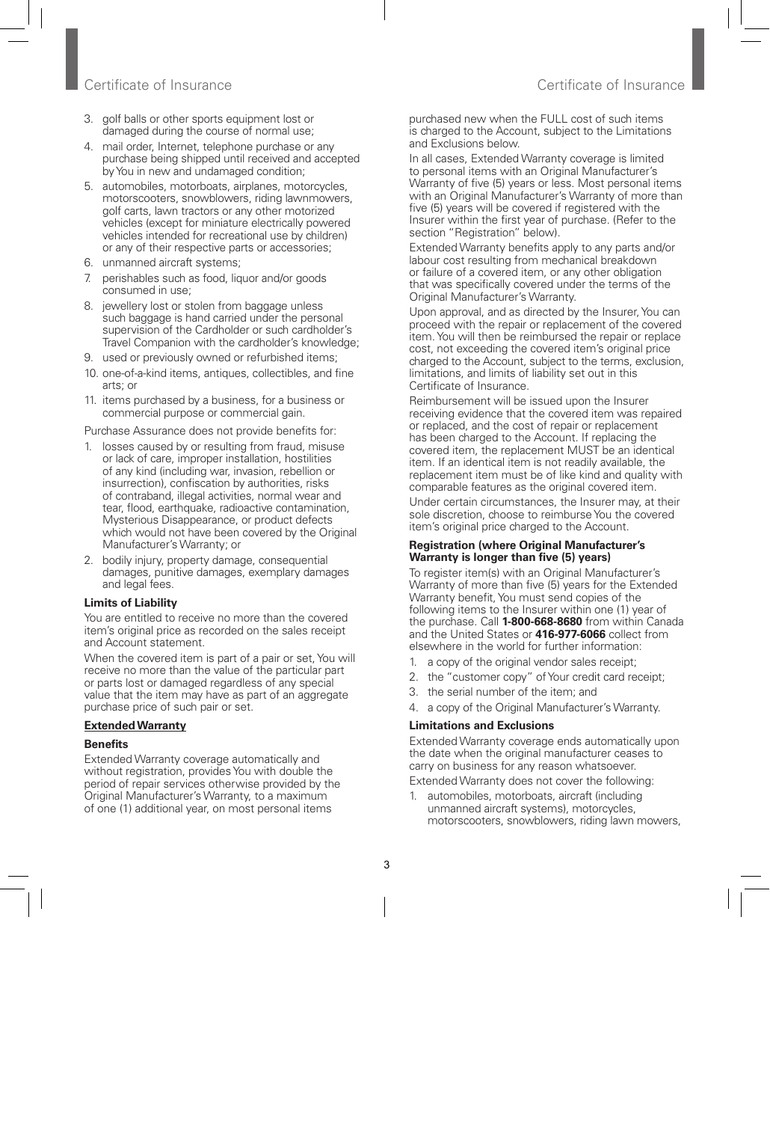## Certificate of Insurance Certificate of Insurance

- 3. golf balls or other sports equipment lost or damaged during the course of normal use;
- 4. mail order, Internet, telephone purchase or any purchase being shipped until received and accepted by You in new and undamaged condition;
- 5. automobiles, motorboats, airplanes, motorcycles, motorscooters, snowblowers, riding lawnmowers, golf carts, lawn tractors or any other motorized vehicles (except for miniature electrically powered vehicles intended for recreational use by children) or any of their respective parts or accessories;
- 6. unmanned aircraft systems;
- 7. perishables such as food, liquor and/or goods consumed in use;
- 8. jewellery lost or stolen from baggage unless such baggage is hand carried under the personal supervision of the Cardholder or such cardholder's Travel Companion with the cardholder's knowledge;
- 9. used or previously owned or refurbished items;
- 10. one-of-a-kind items, antiques, collectibles, and fine arts; or
- 11. items purchased by a business, for a business or commercial purpose or commercial gain.

Purchase Assurance does not provide benefits for:

- 1. losses caused by or resulting from fraud, misuse or lack of care, improper installation, hostilities of any kind (including war, invasion, rebellion or insurrection), confiscation by authorities, risks of contraband, illegal activities, normal wear and tear, flood, earthquake, radioactive contamination, Mysterious Disappearance, or product defects which would not have been covered by the Original Manufacturer's Warranty; or
- 2. bodily injury, property damage, consequential damages, punitive damages, exemplary damages and legal fees.

## **Limits of Liability**

You are entitled to receive no more than the covered item's original price as recorded on the sales receipt and Account statement.

When the covered item is part of a pair or set, You will receive no more than the value of the particular part or parts lost or damaged regardless of any special value that the item may have as part of an aggregate purchase price of such pair or set.

## **Extended Warranty**

## **Benefits**

Extended Warranty coverage automatically and without registration, provides You with double the period of repair services otherwise provided by the Original Manufacturer's Warranty, to a maximum of one (1) additional year, on most personal items

purchased new when the FULL cost of such items is charged to the Account, subject to the Limitations and Exclusions below.

In all cases, Extended Warranty coverage is limited to personal items with an Original Manufacturer's Warranty of five (5) years or less. Most personal items with an Original Manufacturer's Warranty of more than five (5) years will be covered if registered with the Insurer within the first year of purchase. (Refer to the section "Registration" below).

Extended Warranty benefits apply to any parts and/or labour cost resulting from mechanical breakdown or failure of a covered item, or any other obligation that was specifically covered under the terms of the Original Manufacturer's Warranty.

Upon approval, and as directed by the Insurer, You can proceed with the repair or replacement of the covered item. You will then be reimbursed the repair or replace cost, not exceeding the covered item's original price charged to the Account, subject to the terms, exclusion, limitations, and limits of liability set out in this Certificate of Insurance.

Reimbursement will be issued upon the Insurer receiving evidence that the covered item was repaired or replaced, and the cost of repair or replacement has been charged to the Account. If replacing the covered item, the replacement MUST be an identical item. If an identical item is not readily available, the replacement item must be of like kind and quality with comparable features as the original covered item.

Under certain circumstances, the Insurer may, at their sole discretion, choose to reimburse You the covered item's original price charged to the Account.

#### **Registration (where Original Manufacturer's Warranty is longer than five (5) years)**

To register item(s) with an Original Manufacturer's Warranty of more than five (5) years for the Extended Warranty benefit, You must send copies of the following items to the Insurer within one (1) year of the purchase. Call **1-800-668-8680** from within Canada and the United States or **416-977-6066** collect from elsewhere in the world for further information:

- 1. a copy of the original vendor sales receipt;
- 2. the "customer copy" of Your credit card receipt;
- 3. the serial number of the item; and
- 4. a copy of the Original Manufacturer's Warranty.

## **Limitations and Exclusions**

Extended Warranty coverage ends automatically upon the date when the original manufacturer ceases to carry on business for any reason whatsoever.

Extended Warranty does not cover the following:

1. automobiles, motorboats, aircraft (including unmanned aircraft systems), motorcycles, motorscooters, snowblowers, riding lawn mowers,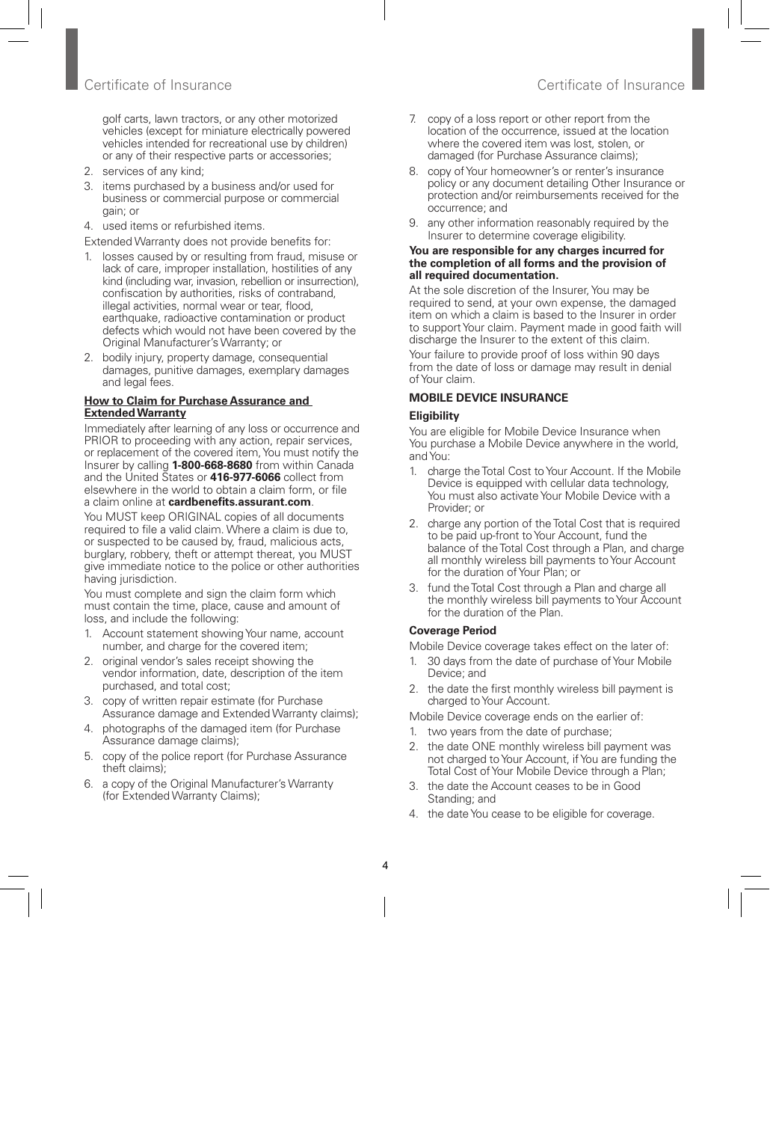golf carts, lawn tractors, or any other motorized vehicles (except for miniature electrically powered vehicles intended for recreational use by children) or any of their respective parts or accessories;

- 2. services of any kind;
- 3. items purchased by a business and/or used for business or commercial purpose or commercial gain; or
- 4. used items or refurbished items.

Extended Warranty does not provide benefits for:

- 1. losses caused by or resulting from fraud, misuse or lack of care, improper installation, hostilities of any kind (including war, invasion, rebellion or insurrection), confiscation by authorities, risks of contraband, illegal activities, normal wear or tear, flood, earthquake, radioactive contamination or product defects which would not have been covered by the Original Manufacturer's Warranty; or
- 2. bodily injury, property damage, consequential damages, punitive damages, exemplary damages and legal fees.

#### **How to Claim for Purchase Assurance and Extended Warranty**

Immediately after learning of any loss or occurrence and PRIOR to proceeding with any action, repair services, or replacement of the covered item, You must notify the Insurer by calling **1-800-668-8680** from within Canada and the United States or **416-977-6066** collect from elsewhere in the world to obtain a claim form, or file a claim online at **cardbenefits.assurant.com**.

You MUST keep ORIGINAL copies of all documents required to file a valid claim. Where a claim is due to, or suspected to be caused by, fraud, malicious acts, burglary, robbery, theft or attempt thereat, you MUST give immediate notice to the police or other authorities having jurisdiction.

You must complete and sign the claim form which must contain the time, place, cause and amount of loss, and include the following:

- 1. Account statement showing Your name, account number, and charge for the covered item;
- 2. original vendor's sales receipt showing the vendor information, date, description of the item purchased, and total cost;
- 3. copy of written repair estimate (for Purchase Assurance damage and Extended Warranty claims);
- 4. photographs of the damaged item (for Purchase Assurance damage claims);
- 5. copy of the police report (for Purchase Assurance theft claims);
- 6. a copy of the Original Manufacturer's Warranty (for Extended Warranty Claims);
- 7. copy of a loss report or other report from the location of the occurrence, issued at the location where the covered item was lost, stolen, or damaged (for Purchase Assurance claims);
- 8. copy of Your homeowner's or renter's insurance policy or any document detailing Other Insurance or protection and/or reimbursements received for the occurrence; and
- 9. any other information reasonably required by the Insurer to determine coverage eligibility.

#### **You are responsible for any charges incurred for the completion of all forms and the provision of all required documentation.**

At the sole discretion of the Insurer, You may be required to send, at your own expense, the damaged item on which a claim is based to the Insurer in order to support Your claim. Payment made in good faith will discharge the Insurer to the extent of this claim.

Your failure to provide proof of loss within 90 days from the date of loss or damage may result in denial of Your claim.

#### **MOBILE DEVICE INSURANCE**

#### **Eligibility**

You are eligible for Mobile Device Insurance when You purchase a Mobile Device anywhere in the world, and You:

- 1. charge the Total Cost to Your Account. If the Mobile Device is equipped with cellular data technology, You must also activate Your Mobile Device with a Provider; or
- 2. charge any portion of the Total Cost that is required to be paid up-front to Your Account, fund the balance of the Total Cost through a Plan, and charge all monthly wireless bill payments to Your Account for the duration of Your Plan; or
- 3. fund the Total Cost through a Plan and charge all the monthly wireless bill payments to Your Account for the duration of the Plan.

#### **Coverage Period**

Mobile Device coverage takes effect on the later of:

- 1. 30 days from the date of purchase of Your Mobile Device; and
- 2. the date the first monthly wireless bill payment is charged to Your Account.

Mobile Device coverage ends on the earlier of:

- 1. two years from the date of purchase;
- 2. the date ONE monthly wireless bill payment was not charged to Your Account, if You are funding the Total Cost of Your Mobile Device through a Plan;
- 3. the date the Account ceases to be in Good Standing; and
- 4. the date You cease to be eligible for coverage.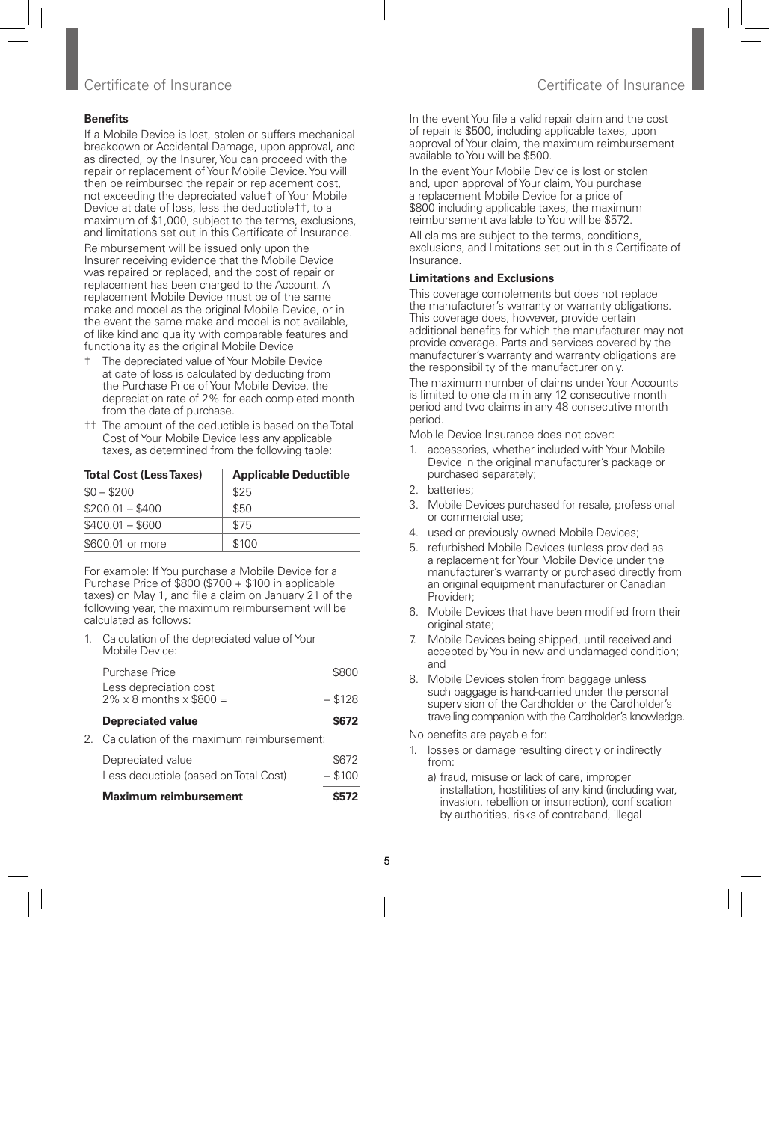## Certificate of Insurance Certificate of Insurance

## **Benefits**

If a Mobile Device is lost, stolen or suffers mechanical breakdown or Accidental Damage, upon approval, and as directed, by the Insurer, You can proceed with the repair or replacement of Your Mobile Device. You will then be reimbursed the repair or replacement cost, not exceeding the depreciated value† of Your Mobile Device at date of loss, less the deductible††, to a maximum of \$1,000, subject to the terms, exclusions, and limitations set out in this Certificate of Insurance.

Reimbursement will be issued only upon the Insurer receiving evidence that the Mobile Device was repaired or replaced, and the cost of repair or replacement has been charged to the Account. A replacement Mobile Device must be of the same make and model as the original Mobile Device, or in the event the same make and model is not available, of like kind and quality with comparable features and functionality as the original Mobile Device

- † The depreciated value of Your Mobile Device at date of loss is calculated by deducting from the Purchase Price of Your Mobile Device, the depreciation rate of 2% for each completed month from the date of purchase.
- †† The amount of the deductible is based on the Total Cost of Your Mobile Device less any applicable taxes, as determined from the following table:

| <b>Total Cost (Less Taxes)</b> | <b>Applicable Deductible</b> |  |
|--------------------------------|------------------------------|--|
| $$0 - $200$                    | \$25                         |  |
| $$200.01 - $400$               | \$50                         |  |
| $$400.01 - $600$               | \$75                         |  |
| \$600.01 or more               | \$100                        |  |

For example: If You purchase a Mobile Device for a Purchase Price of  $$800 ($700 + $100$  in applicable taxes) on May 1, and file a claim on January 21 of the following year, the maximum reimbursement will be calculated as follows:

1. Calculation of the depreciated value of Your Mobile Device:

| Purchase Price                                                   | \$800     |
|------------------------------------------------------------------|-----------|
| Less depreciation cost<br>$2\% \times 8$ months $\times$ \$800 = | $-$ \$128 |
| <b>Depreciated value</b>                                         | \$672     |
| 2. Calculation of the maximum reimbursement:                     |           |
|                                                                  |           |

| Maximum reimbursement                 | \$572     |
|---------------------------------------|-----------|
| Less deductible (based on Total Cost) | $-$ \$100 |
| Depreciated value                     | \$672     |

In the event You file a valid repair claim and the cost of repair is \$500, including applicable taxes, upon approval of Your claim, the maximum reimbursement available to You will be \$500.

In the event Your Mobile Device is lost or stolen and, upon approval of Your claim, You purchase a replacement Mobile Device for a price of \$800 including applicable taxes, the maximum reimbursement available to You will be \$572.

All claims are subject to the terms, conditions, exclusions, and limitations set out in this Certificate of Insurance.

## **Limitations and Exclusions**

This coverage complements but does not replace the manufacturer's warranty or warranty obligations. This coverage does, however, provide certain additional benefits for which the manufacturer may not provide coverage. Parts and services covered by the manufacturer's warranty and warranty obligations are the responsibility of the manufacturer only.

The maximum number of claims under Your Accounts is limited to one claim in any 12 consecutive month period and two claims in any 48 consecutive month period.

Mobile Device Insurance does not cover:

- 1. accessories, whether included with Your Mobile Device in the original manufacturer's package or purchased separately;
- 2. batteries;
- 3. Mobile Devices purchased for resale, professional or commercial use;
- 4. used or previously owned Mobile Devices;
- 5. refurbished Mobile Devices (unless provided as a replacement for Your Mobile Device under the manufacturer's warranty or purchased directly from an original equipment manufacturer or Canadian Provider);
- 6. Mobile Devices that have been modified from their original state:
- 7. Mobile Devices being shipped, until received and accepted by You in new and undamaged condition; and
- 8. Mobile Devices stolen from baggage unless such baggage is hand-carried under the personal supervision of the Cardholder or the Cardholder's travelling companion with the Cardholder's knowledge.

No benefits are payable for:

- 1. losses or damage resulting directly or indirectly from:
	- a) fraud, misuse or lack of care, improper installation, hostilities of any kind (including war, invasion, rebellion or insurrection), confiscation by authorities, risks of contraband, illegal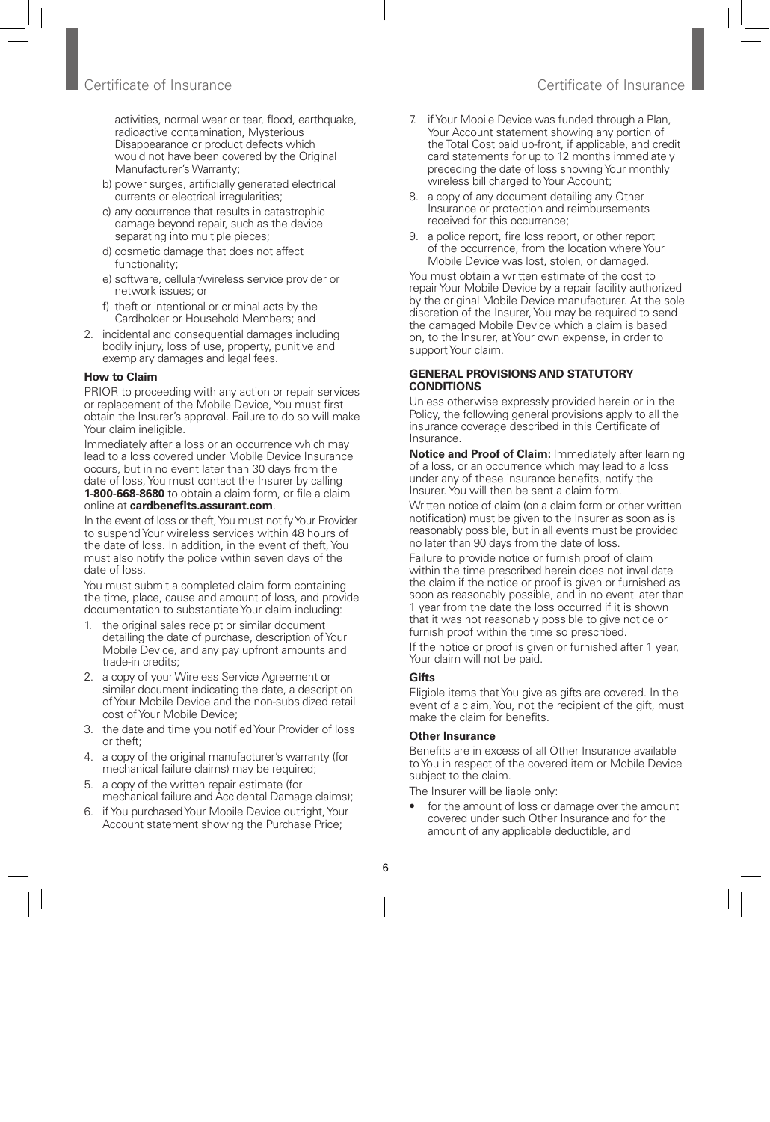activities, normal wear or tear, flood, earthquake, radioactive contamination, Mysterious Disappearance or product defects which would not have been covered by the Original Manufacturer's Warranty;

- b) power surges, artificially generated electrical currents or electrical irregularities;
- c) any occurrence that results in catastrophic damage beyond repair, such as the device separating into multiple pieces;
- d) cosmetic damage that does not affect functionality;
- e) software, cellular/wireless service provider or network issues; or
- f) theft or intentional or criminal acts by the Cardholder or Household Members; and
- 2. incidental and consequential damages including bodily injury, loss of use, property, punitive and exemplary damages and legal fees.

## **How to Claim**

PRIOR to proceeding with any action or repair services or replacement of the Mobile Device, You must first obtain the Insurer's approval. Failure to do so will make Your claim ineligible.

Immediately after a loss or an occurrence which may lead to a loss covered under Mobile Device Insurance occurs, but in no event later than 30 days from the date of loss, You must contact the Insurer by calling **1-800-668-8680** to obtain a claim form, or file a claim online at **cardbenefits.assurant.com**.

In the event of loss or theft, You must notify Your Provider to suspend Your wireless services within 48 hours of the date of loss. In addition, in the event of theft, You must also notify the police within seven days of the date of loss.

You must submit a completed claim form containing the time, place, cause and amount of loss, and provide documentation to substantiate Your claim including:

- 1. the original sales receipt or similar document detailing the date of purchase, description of Your Mobile Device, and any pay upfront amounts and trade-in credits;
- 2. a copy of your Wireless Service Agreement or similar document indicating the date, a description of Your Mobile Device and the non-subsidized retail cost of Your Mobile Device;
- 3. the date and time you notified Your Provider of loss or theft;
- 4. a copy of the original manufacturer's warranty (for mechanical failure claims) may be required;
- 5. a copy of the written repair estimate (for mechanical failure and Accidental Damage claims);
- 6. if You purchased Your Mobile Device outright, Your Account statement showing the Purchase Price;
- 7. if Your Mobile Device was funded through a Plan, Your Account statement showing any portion of the Total Cost paid up-front, if applicable, and credit card statements for up to 12 months immediately preceding the date of loss showing Your monthly wireless bill charged to Your Account;
- 8. a copy of any document detailing any Other Insurance or protection and reimbursements received for this occurrence;
- 9. a police report, fire loss report, or other report of the occurrence, from the location where Your Mobile Device was lost, stolen, or damaged.

You must obtain a written estimate of the cost to repair Your Mobile Device by a repair facility authorized by the original Mobile Device manufacturer. At the sole discretion of the Insurer, You may be required to send the damaged Mobile Device which a claim is based on, to the Insurer, at Your own expense, in order to support Your claim.

#### **GENERAL PROVISIONS AND STATUTORY CONDITIONS**

Unless otherwise expressly provided herein or in the Policy, the following general provisions apply to all the insurance coverage described in this Certificate of Insurance.

**Notice and Proof of Claim: Immediately after learning** of a loss, or an occurrence which may lead to a loss under any of these insurance benefits, notify the Insurer. You will then be sent a claim form.

Written notice of claim (on a claim form or other written notification) must be given to the Insurer as soon as is reasonably possible, but in all events must be provided no later than 90 days from the date of loss.

Failure to provide notice or furnish proof of claim within the time prescribed herein does not invalidate the claim if the notice or proof is given or furnished as soon as reasonably possible, and in no event later than 1 year from the date the loss occurred if it is shown that it was not reasonably possible to give notice or furnish proof within the time so prescribed.

If the notice or proof is given or furnished after 1 year, Your claim will not be paid.

## **Gifts**

Eligible items that You give as gifts are covered. In the event of a claim. You, not the recipient of the gift, must make the claim for benefits.

## **Other Insurance**

Benefits are in excess of all Other Insurance available to You in respect of the covered item or Mobile Device subject to the claim.

The Insurer will be liable only:

for the amount of loss or damage over the amount covered under such Other Insurance and for the amount of any applicable deductible, and